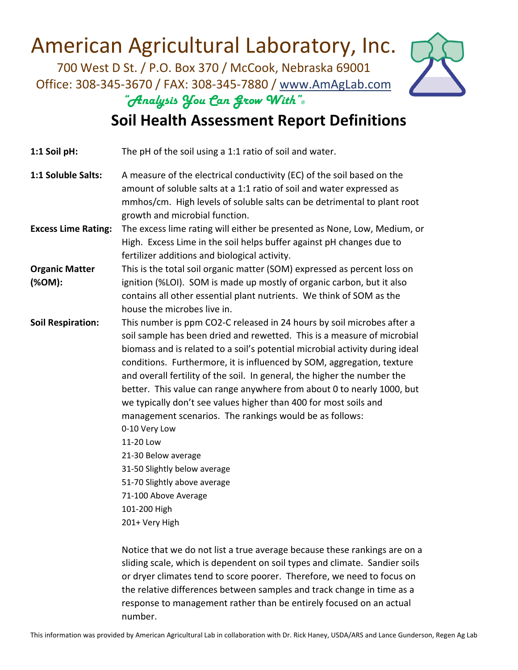700 West D St. / P.O. Box 370 / McCook, Nebraska 69001 Office: 308‐345‐3670 / FAX: 308‐345‐7880 / www.AmAgLab.com *"Analysis You Can Grow With"®*



#### **Soil Health Assessment Report Definitions**

| 1:1 Soil pH:                    | The pH of the soil using a 1:1 ratio of soil and water.                                                                                                                                                                                                                                                                                                                                                                                                                                                                                                                                                                                                                                                                                                                         |
|---------------------------------|---------------------------------------------------------------------------------------------------------------------------------------------------------------------------------------------------------------------------------------------------------------------------------------------------------------------------------------------------------------------------------------------------------------------------------------------------------------------------------------------------------------------------------------------------------------------------------------------------------------------------------------------------------------------------------------------------------------------------------------------------------------------------------|
| 1:1 Soluble Salts:              | A measure of the electrical conductivity (EC) of the soil based on the<br>amount of soluble salts at a 1:1 ratio of soil and water expressed as<br>mmhos/cm. High levels of soluble salts can be detrimental to plant root<br>growth and microbial function.                                                                                                                                                                                                                                                                                                                                                                                                                                                                                                                    |
| <b>Excess Lime Rating:</b>      | The excess lime rating will either be presented as None, Low, Medium, or<br>High. Excess Lime in the soil helps buffer against pH changes due to<br>fertilizer additions and biological activity.                                                                                                                                                                                                                                                                                                                                                                                                                                                                                                                                                                               |
| <b>Organic Matter</b><br>(%OM): | This is the total soil organic matter (SOM) expressed as percent loss on<br>ignition (%LOI). SOM is made up mostly of organic carbon, but it also<br>contains all other essential plant nutrients. We think of SOM as the<br>house the microbes live in.                                                                                                                                                                                                                                                                                                                                                                                                                                                                                                                        |
| <b>Soil Respiration:</b>        | This number is ppm CO2-C released in 24 hours by soil microbes after a<br>soil sample has been dried and rewetted. This is a measure of microbial<br>biomass and is related to a soil's potential microbial activity during ideal<br>conditions. Furthermore, it is influenced by SOM, aggregation, texture<br>and overall fertility of the soil. In general, the higher the number the<br>better. This value can range anywhere from about 0 to nearly 1000, but<br>we typically don't see values higher than 400 for most soils and<br>management scenarios. The rankings would be as follows:<br>0-10 Very Low<br>11-20 Low<br>21-30 Below average<br>31-50 Slightly below average<br>51-70 Slightly above average<br>71-100 Above Average<br>101-200 High<br>201+ Very High |

 Notice that we do not list a true average because these rankings are on a sliding scale, which is dependent on soil types and climate. Sandier soils or dryer climates tend to score poorer. Therefore, we need to focus on the relative differences between samples and track change in time as a response to management rather than be entirely focused on an actual number.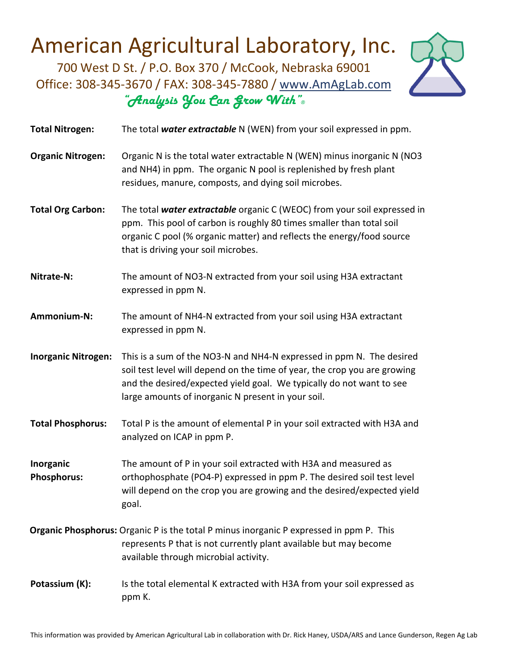700 West D St. / P.O. Box 370 / McCook, Nebraska 69001 Office: 308‐345‐3670 / FAX: 308‐345‐7880 / www.AmAgLab.com *"Analysis You Can Grow With"®*



| <b>Total Nitrogen:</b>          | The total water extractable N (WEN) from your soil expressed in ppm.                                                                                                                                                                                                            |
|---------------------------------|---------------------------------------------------------------------------------------------------------------------------------------------------------------------------------------------------------------------------------------------------------------------------------|
| <b>Organic Nitrogen:</b>        | Organic N is the total water extractable N (WEN) minus inorganic N (NO3<br>and NH4) in ppm. The organic N pool is replenished by fresh plant<br>residues, manure, composts, and dying soil microbes.                                                                            |
| <b>Total Org Carbon:</b>        | The total water extractable organic C (WEOC) from your soil expressed in<br>ppm. This pool of carbon is roughly 80 times smaller than total soil<br>organic C pool (% organic matter) and reflects the energy/food source<br>that is driving your soil microbes.                |
| Nitrate-N:                      | The amount of NO3-N extracted from your soil using H3A extractant<br>expressed in ppm N.                                                                                                                                                                                        |
| Ammonium-N:                     | The amount of NH4-N extracted from your soil using H3A extractant<br>expressed in ppm N.                                                                                                                                                                                        |
| <b>Inorganic Nitrogen:</b>      | This is a sum of the NO3-N and NH4-N expressed in ppm N. The desired<br>soil test level will depend on the time of year, the crop you are growing<br>and the desired/expected yield goal. We typically do not want to see<br>large amounts of inorganic N present in your soil. |
| <b>Total Phosphorus:</b>        | Total P is the amount of elemental P in your soil extracted with H3A and<br>analyzed on ICAP in ppm P.                                                                                                                                                                          |
| Inorganic<br><b>Phosphorus:</b> | The amount of P in your soil extracted with H3A and measured as<br>orthophosphate (PO4-P) expressed in ppm P. The desired soil test level<br>will depend on the crop you are growing and the desired/expected yield<br>goal.                                                    |
|                                 | <b>Organic Phosphorus:</b> Organic P is the total P minus inorganic P expressed in ppm P. This<br>represents P that is not currently plant available but may become<br>available through microbial activity.                                                                    |
| Potassium (K):                  | Is the total elemental K extracted with H3A from your soil expressed as<br>ppm K.                                                                                                                                                                                               |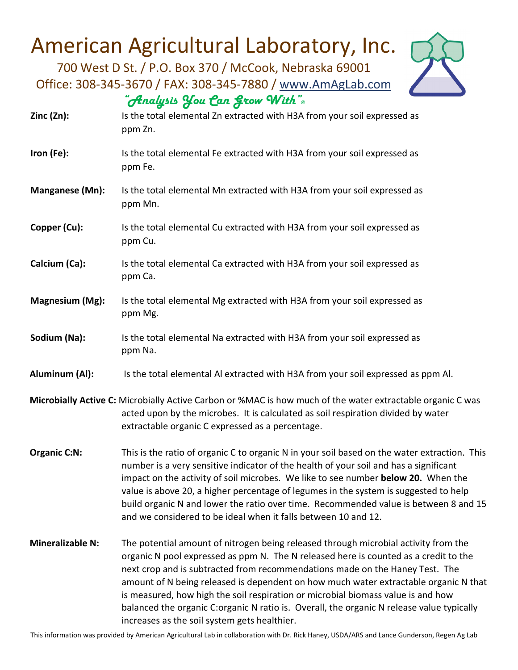700 West D St. / P.O. Box 370 / McCook, Nebraska 69001 Office: 308‐345‐3670 / FAX: 308‐345‐7880 / www.AmAgLab.com *"Analysis You Can Grow With"®*



- **Zinc (Zn):** Is the total elemental Zn extracted with H3A from your soil expressed as ppm Zn.
- **Iron (Fe):** Is the total elemental Fe extracted with H3A from your soil expressed as ppm Fe.
- **Manganese (Mn):** Is the total elemental Mn extracted with H3A from your soil expressed as ppm Mn.
- **Copper (Cu):** Is the total elemental Cu extracted with H3A from your soil expressed as ppm Cu.
- **Calcium (Ca):** Is the total elemental Ca extracted with H3A from your soil expressed as ppm Ca.
- **Magnesium (Mg):** Is the total elemental Mg extracted with H3A from your soil expressed as ppm Mg.
- **Sodium (Na):** Is the total elemental Na extracted with H3A from your soil expressed as ppm Na.
- **Aluminum (Al):** Is the total elemental Al extracted with H3A from your soil expressed as ppm Al.
- **Microbially Active C:** Microbially Active Carbon or %MAC is how much of the water extractable organic C was acted upon by the microbes. It is calculated as soil respiration divided by water extractable organic C expressed as a percentage.
- **Organic C:N:** This is the ratio of organic C to organic N in your soil based on the water extraction. This number is a very sensitive indicator of the health of your soil and has a significant impact on the activity of soil microbes. We like to see number **below 20.** When the value is above 20, a higher percentage of legumes in the system is suggested to help build organic N and lower the ratio over time. Recommended value is between 8 and 15 and we considered to be ideal when it falls between 10 and 12.
- **Mineralizable N:**  The potential amount of nitrogen being released through microbial activity from the organic N pool expressed as ppm N. The N released here is counted as a credit to the next crop and is subtracted from recommendations made on the Haney Test. The amount of N being released is dependent on how much water extractable organic N that is measured, how high the soil respiration or microbial biomass value is and how balanced the organic C:organic N ratio is. Overall, the organic N release value typically increases as the soil system gets healthier.